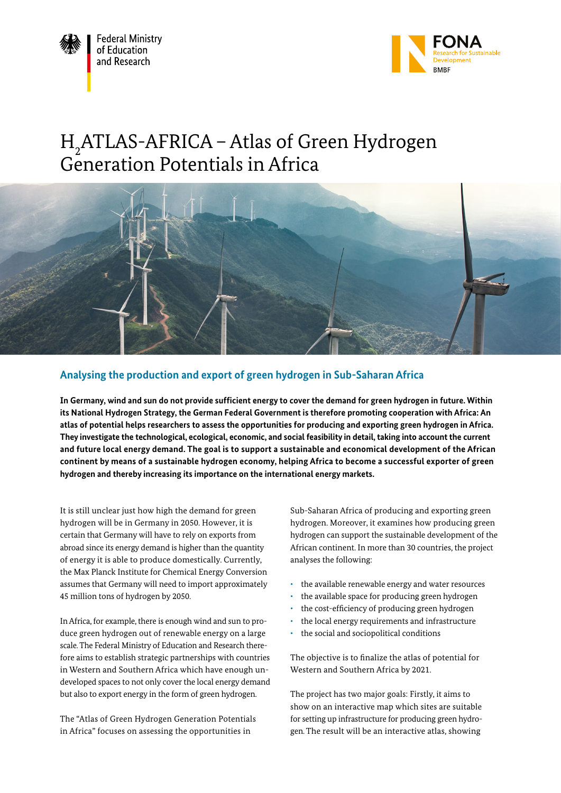



# H2 ATLAS-AFRICA – Atlas of Green Hydrogen Generation Potentials in Africa



# **Analysing the production and export of green hydrogen in Sub-Saharan Africa**

**In Germany, wind and sun do not provide sufficient energy to cover the demand for green hydrogen in future. Within its National Hydrogen Strategy, the German Federal Government is therefore promoting cooperation with Africa: An atlas of potential helps researchers to assess the opportunities for producing and exporting green hydrogen in Africa. They investigate the technological, ecological, economic, and social feasibility in detail, taking into account the current and future local energy demand. The goal is to support a sustainable and economical development of the African continent by means of a sustainable hydrogen economy, helping Africa to become a successful exporter of green hydrogen and thereby increasing its importance on the international energy markets.**

It is still unclear just how high the demand for green hydrogen will be in Germany in 2050. However, it is certain that Germany will have to rely on exports from abroad since its energy demand is higher than the quantity of energy it is able to produce domestically. Currently, the Max Planck Institute for Chemical Energy Conversion assumes that Germany will need to import approximately 45 million tons of hydrogen by 2050.

In Africa, for example, there is enough wind and sun to produce green hydrogen out of renewable energy on a large scale. The Federal Ministry of Education and Research therefore aims to establish strategic partnerships with countries in Western and Southern Africa which have enough undeveloped spaces to not only cover the local energy demand but also to export energy in the form of green hydrogen.

The "Atlas of Green Hydrogen Generation Potentials in Africa" focuses on assessing the opportunities in

Sub-Saharan Africa of producing and exporting green hydrogen. Moreover, it examines how producing green hydrogen can support the sustainable development of the African continent. In more than 30 countries, the project analyses the following:

- the available renewable energy and water resources
- the available space for producing green hydrogen
- the cost-efficiency of producing green hydrogen
- the local energy requirements and infrastructure
- the social and sociopolitical conditions

The objective is to finalize the atlas of potential for Western and Southern Africa by 2021.

The project has two major goals: Firstly, it aims to show on an interactive map which sites are suitable for setting up infrastructure for producing green hydrogen. The result will be an interactive atlas, showing